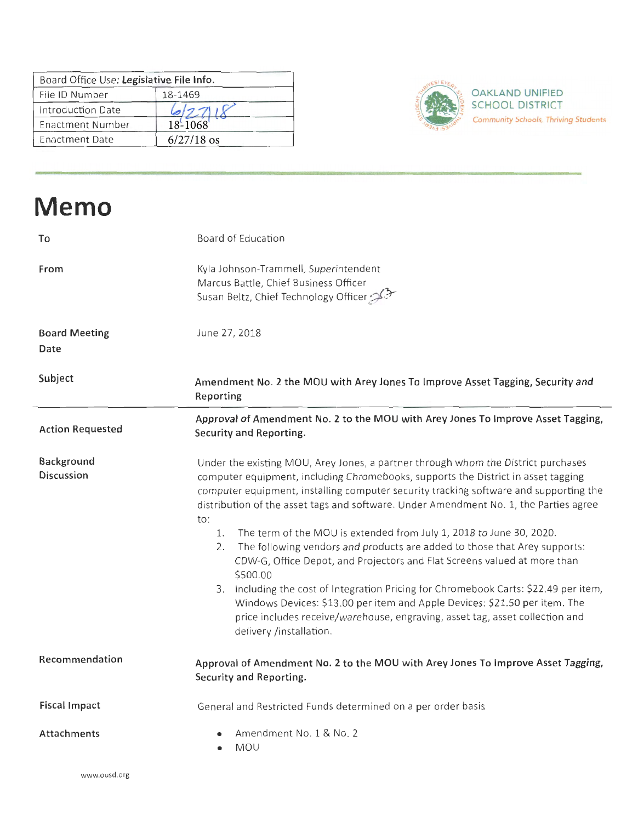| Board Office Use: Legislative File Info. |              |                                  |
|------------------------------------------|--------------|----------------------------------|
| File ID Number                           | 18-1469      | <b>OAKLAND UNIFIED</b>           |
| Introduction Date                        |              | <b>SCHOOL DISTRICT</b>           |
| Enactment Number                         | 18-1068      | <b>Community Schools, Thrivi</b> |
| <b>Enactment Date</b>                    | $6/27/18$ os |                                  |



**Community Schools, Thriving Students** 

| <b>Memo</b>                     |                                                                                                                                                                                                                                                                                                                                                                 |
|---------------------------------|-----------------------------------------------------------------------------------------------------------------------------------------------------------------------------------------------------------------------------------------------------------------------------------------------------------------------------------------------------------------|
| To                              | Board of Education                                                                                                                                                                                                                                                                                                                                              |
| From                            | Kyla Johnson-Trammell, Superintendent<br>Marcus Battle, Chief Business Officer<br>Susan Beltz, Chief Technology Officer                                                                                                                                                                                                                                         |
| <b>Board Meeting</b><br>Date    | June 27, 2018                                                                                                                                                                                                                                                                                                                                                   |
| Subject                         | Amendment No. 2 the MOU with Arey Jones To Improve Asset Tagging, Security and<br>Reporting                                                                                                                                                                                                                                                                     |
| <b>Action Requested</b>         | Approval of Amendment No. 2 to the MOU with Arey Jones To Improve Asset Tagging,<br>Security and Reporting.                                                                                                                                                                                                                                                     |
| Background<br><b>Discussion</b> | Under the existing MOU, Arey Jones, a partner through whom the District purchases<br>computer equipment, including Chromebooks, supports the District in asset tagging<br>computer equipment, installing computer security tracking software and supporting the<br>distribution of the asset tags and software. Under Amendment No. 1, the Parties agree<br>to: |
|                                 | The term of the MOU is extended from July 1, 2018 to June 30, 2020.<br>1.<br>2.<br>The following vendors and products are added to those that Arey supports:<br>CDW-G, Office Depot, and Projectors and Flat Screens valued at more than<br>\$500.00                                                                                                            |
|                                 | 3. Including the cost of Integration Pricing for Chromebook Carts: \$22.49 per item,<br>Windows Devices: \$13.00 per item and Apple Devices: \$21.50 per item. The<br>price includes receive/warehouse, engraving, asset tag, asset collection and<br>delivery /installation.                                                                                   |
| Recommendation                  | Approval of Amendment No. 2 to the MOU with Arey Jones To Improve Asset Tagging,<br>Security and Reporting.                                                                                                                                                                                                                                                     |
| <b>Fiscal Impact</b>            | General and Restricted Funds determined on a per order basis                                                                                                                                                                                                                                                                                                    |
| <b>Attachments</b>              | Amendment No. 1 & No. 2<br><b>MOU</b>                                                                                                                                                                                                                                                                                                                           |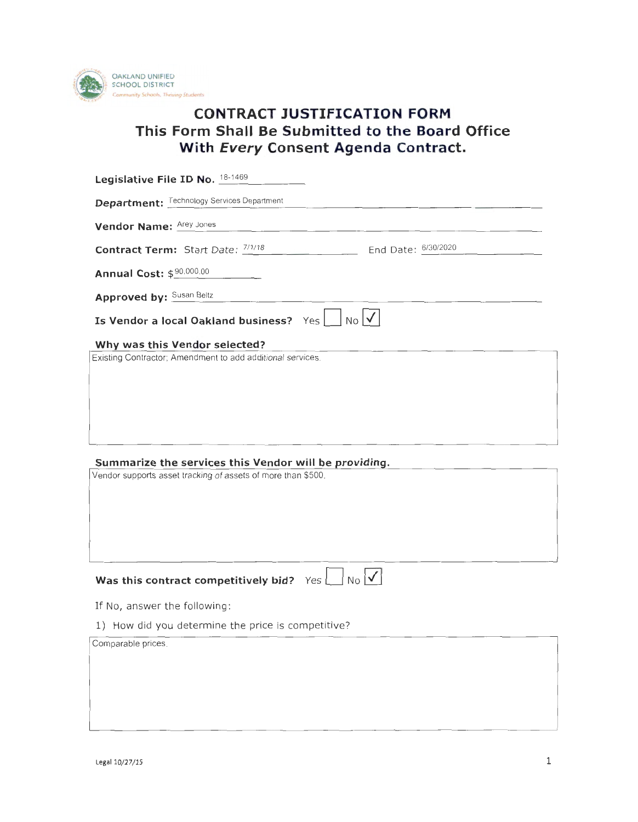

# **CONTRACT JUSTIFICATION FORM This form Shall Be Submitted to the Board Office With Every Consent Agenda Contract.**

| Legislative File ID No. 18-1469                                                             |
|---------------------------------------------------------------------------------------------|
| <b>Department:</b> Technology Services Department                                           |
| Vendor Name: Arey Jones                                                                     |
| End Date: 6/30/2020<br><b>Contract Term:</b> Start Date: $\frac{7/1/18}{2}$                 |
| Annual Cost: \$80,000.00                                                                    |
| <b>Approved by: Susan Beltz</b>                                                             |
| $\lfloor N_{\mathsf{O}} \rfloor$<br>Is Vendor a local Oakland business? Yes                 |
| Why was this Vendor selected?<br>Existing Contractor; Amendment to add additional services. |
|                                                                                             |
|                                                                                             |
| Summarize the services this Vendor will be providing.                                       |
| Vendor supports asset tracking of assets of more than \$500.                                |
|                                                                                             |
|                                                                                             |
|                                                                                             |
| $N_O$ $\checkmark$<br>Was this contract competitively bid? $Yes$                            |
| If No, answer the following:                                                                |
| 1) How did you determine the price is competitive?                                          |
| Comparable prices.                                                                          |
|                                                                                             |
|                                                                                             |
|                                                                                             |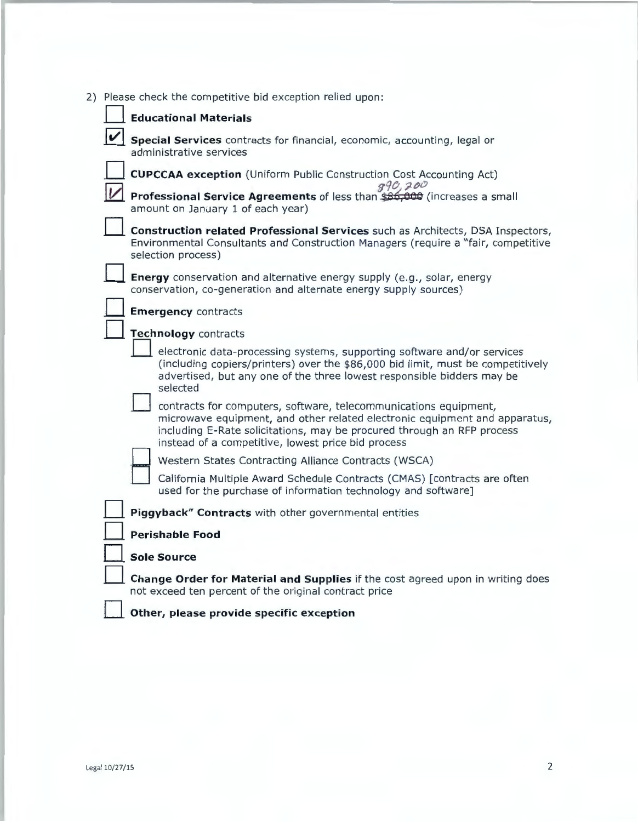|   | 2) Please check the competitive bid exception relied upon:                                                                                                                                                                                                                     |
|---|--------------------------------------------------------------------------------------------------------------------------------------------------------------------------------------------------------------------------------------------------------------------------------|
|   | <b>Educational Materials</b>                                                                                                                                                                                                                                                   |
| V | <b>Special Services</b> contracts for financial, economic, accounting, legal or<br>administrative services                                                                                                                                                                     |
|   | <b>CUPCCAA exception</b> (Uniform Public Construction Cost Accounting Act)<br>990,200                                                                                                                                                                                          |
|   | Professional Service Agreements of less than \$86,000 (increases a small<br>amount on January 1 of each year)                                                                                                                                                                  |
|   | Construction related Professional Services such as Architects, DSA Inspectors,<br>Environmental Consultants and Construction Managers (require a "fair, competitive<br>selection process)                                                                                      |
|   | Energy conservation and alternative energy supply (e.g., solar, energy<br>conservation, co-generation and alternate energy supply sources)                                                                                                                                     |
|   | <b>Emergency contracts</b>                                                                                                                                                                                                                                                     |
|   | Technology contracts                                                                                                                                                                                                                                                           |
|   | electronic data-processing systems, supporting software and/or services<br>(including copiers/printers) over the \$86,000 bid limit, must be competitively<br>advertised, but any one of the three lowest responsible bidders may be<br>selected                               |
|   | contracts for computers, software, telecommunications equipment,<br>microwave equipment, and other related electronic equipment and apparatus,<br>including E-Rate solicitations, may be procured through an RFP process<br>instead of a competitive, lowest price bid process |
|   | Western States Contracting Alliance Contracts (WSCA)                                                                                                                                                                                                                           |
|   | California Multiple Award Schedule Contracts (CMAS) [contracts are often<br>used for the purchase of information technology and software]                                                                                                                                      |
|   | Piggyback" Contracts with other governmental entities                                                                                                                                                                                                                          |
|   | <b>Perishable Food</b>                                                                                                                                                                                                                                                         |
|   | <b>Sole Source</b>                                                                                                                                                                                                                                                             |
|   | Change Order for Material and Supplies if the cost agreed upon in writing does<br>not exceed ten percent of the original contract price                                                                                                                                        |
|   | Other, please provide specific exception                                                                                                                                                                                                                                       |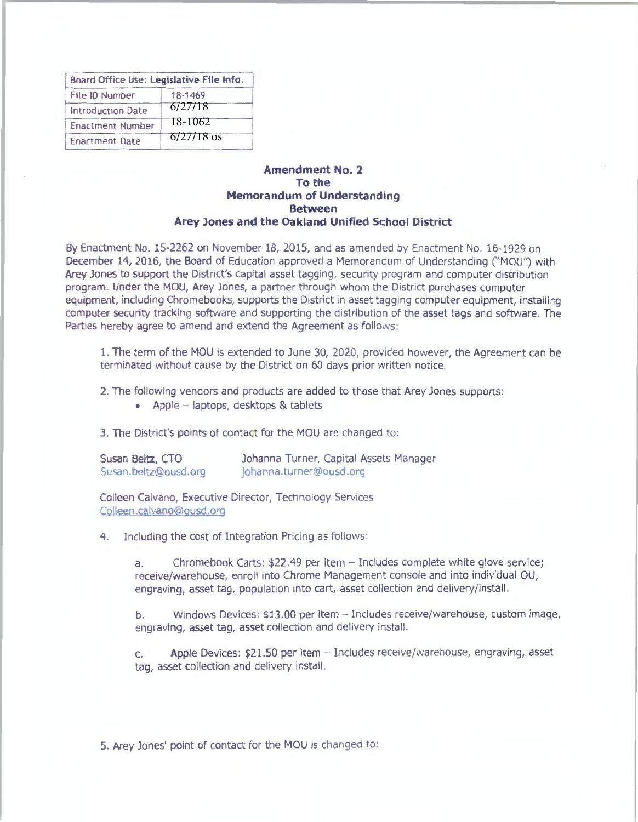| Board Office Use: Legislative File Info. |              |
|------------------------------------------|--------------|
| File ID Number                           | 18-1469      |
| Introduction Date                        | 6/27/18      |
| <b>Enactment Number</b>                  | 18-1062      |
| <b>Enactment Date</b>                    | $6/27/18$ os |

# **Amendment No. 2 To the Memorandum of Understanding Between Arey Jones and the Oakland Unified School District**

By Enactment No. 15-2262 on November 18, 2015, and as amended by Enactment No. 16-1929 on December 14, 2016, the Board of Education approved a Memorandum of Understanding ("MOU") with Arey Jones to support the District's capital asset tagging, security program and computer distribution program. Under the MOU, Arey Jones, a partner through whom the District purchases computer equipment, including Chromebooks, supports the District in asset tagging computer equipment, installing computer security tracking software and supporting the distribution of the asset tags and software. The Parties hereby agree to amend and extend the Agreement as follows:

1. The term of the MOU is extended to June 30, 2020, provided however, the Agreement can be terminated without cause by the District on 60 days prior written notice.

2. The following vendors and products are added to those that Arey Jones supports :

• Apple - laptops, desktops & tablets

3. The District's points of contact for the MOU are changed to:

Susan Beltz, CTO Susan .beltz@ousd .org Johanna Turner, Capital Assets Manager johanna . urner@ousd org

Colleen Calvano, Executive Director, Technology Services Colleen.calvano@ousd.org

4. Including the cost of Integration Pricing as follows :

a. Chromebook Carts: \$22.49 per item - Includes complete white glove service; receive/warehouse, enroll into Chrome Management console and into individual OU, engraving, asset tag, population into cart, asset collection and delivery/install.

b. Windows Devices: \$13.00 per item - Includes receive/warehouse, custom image, engraving, asset tag, asset collection and delivery install.

c. Apple Devices: \$21.50 per item - Includes receive/warehouse, engraving, asset tag, asset collection and delivery install.

5. Arey Jones' point of contact for the MOU is changed to: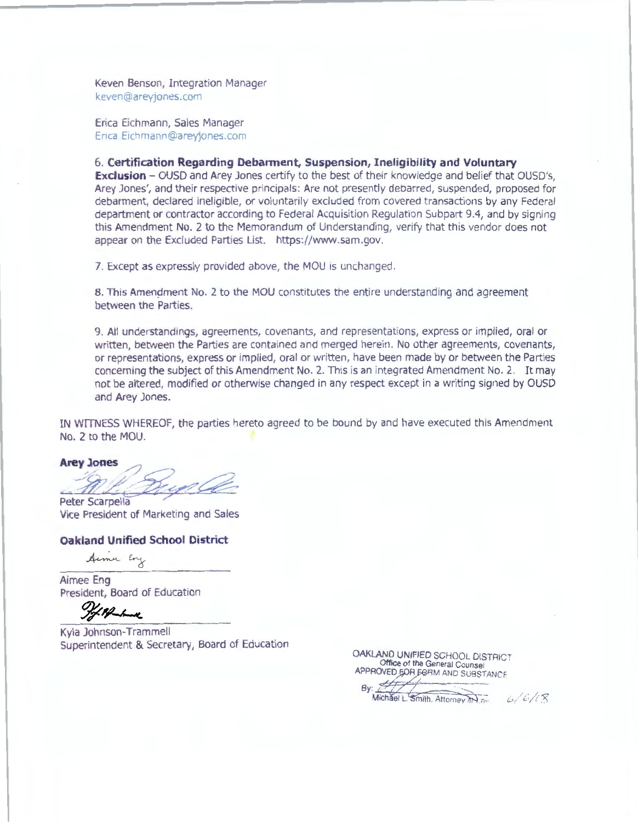Keven Benson, Integration Manager keven@areyjones.com

Erica Eichmann, Sales Manager Erica Eichmann@areyjones.com

6. **Certification Regarding Debarment, Suspension, Ineligibility and Voluntary** 

**Exclusion - OUSD and Arey Jones certify to the best of their knowledge and belief that OUSD's.** Arey Jones', and their respective principals : Are not presently debarred, suspended, proposed for debarment, declared ineligible, or voluntarily excluded from covered transactions by any Federal department or contractor according to Federal Acquisition Regulation Subpart 9.4, and by signing this Amendment No . 2 to the Memorandum of Understanding, verify that this vendor does not appear on the Excluded Parties List. https://www.sam.gov.

7. Except as expressly provided above, the MOU is unchanged.

8. This Amendment No. 2 to the MOU constitutes the entire understanding and agreement between the Parties.

9. All understandings, agreements, covenants, and representations, express or implied, oral or written, between the Parties are contained and merged herein. No other agreements, covenants, or representations, express or implied, oral or written, have been made by or between the Parties concerning the subject of this Amendment No. 2. This is an integrated Amendment No. 2. It may not be altered, modified or otherwise changed in any respect except in a writing signed by OUSD and Arey Jones.

IN WITNESS WHEREOF, the parties hereto agreed to be bound by and have executed this Amendment No. 2 to the MOU.

Arey Jones<br>
Peter Scarpella<br>Peter Scarpella

Vice President of Marketing and Sales

## **Oakland Unified School District**

Armer Eng

Aimee Eng President, Board of Education

If of the town

Kyla Johnson-Trammell Superintendent & Secretary, Board of Education

**OAKLAND UNIFIED** SCHOOL DISTRICT **OFFROVED EOR FORM AND SUBSTANCE.**<br>By: **Alichael L. Smith. Attorney and and Michael L. Smith, Attorney and and**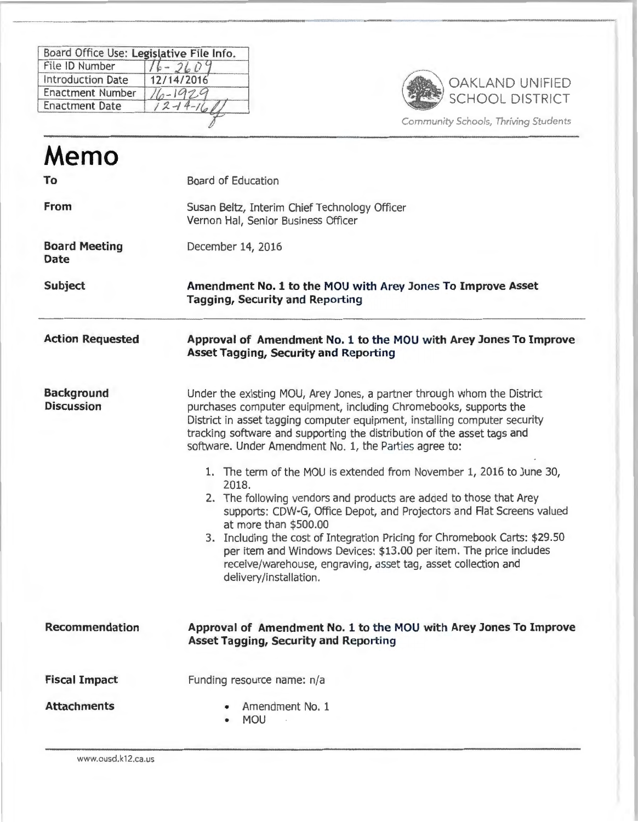| Board Office Use: Legislative File Info. |              |
|------------------------------------------|--------------|
| File ID Number                           |              |
| <b>Introduction Date</b>                 | 12/14/2016   |
| <b>Enactment Number</b>                  | $11-1929$    |
| <b>Enactment Date</b>                    | $2 - 14 - 1$ |



( .ommuniry *Schools,* Thriving *Studenrs* 

| Memo                                   |                                                                                                                                                                                                                                                                                                                                                                                                                                                                                                                                                                                                                                                                                                                                                                                                                                                                         |
|----------------------------------------|-------------------------------------------------------------------------------------------------------------------------------------------------------------------------------------------------------------------------------------------------------------------------------------------------------------------------------------------------------------------------------------------------------------------------------------------------------------------------------------------------------------------------------------------------------------------------------------------------------------------------------------------------------------------------------------------------------------------------------------------------------------------------------------------------------------------------------------------------------------------------|
| To                                     | <b>Board of Education</b>                                                                                                                                                                                                                                                                                                                                                                                                                                                                                                                                                                                                                                                                                                                                                                                                                                               |
| From                                   | Susan Beltz, Interim Chief Technology Officer<br>Vernon Hal, Senior Business Officer                                                                                                                                                                                                                                                                                                                                                                                                                                                                                                                                                                                                                                                                                                                                                                                    |
| <b>Board Meeting</b><br><b>Date</b>    | December 14, 2016                                                                                                                                                                                                                                                                                                                                                                                                                                                                                                                                                                                                                                                                                                                                                                                                                                                       |
| <b>Subject</b>                         | Amendment No. 1 to the MOU with Arey Jones To Improve Asset<br><b>Tagging, Security and Reporting</b>                                                                                                                                                                                                                                                                                                                                                                                                                                                                                                                                                                                                                                                                                                                                                                   |
| <b>Action Requested</b>                | Approval of Amendment No. 1 to the MOU with Arey Jones To Improve<br><b>Asset Tagging, Security and Reporting</b>                                                                                                                                                                                                                                                                                                                                                                                                                                                                                                                                                                                                                                                                                                                                                       |
| <b>Background</b><br><b>Discussion</b> | Under the existing MOU, Arey Jones, a partner through whom the District<br>purchases computer equipment, including Chromebooks, supports the<br>District in asset tagging computer equipment, installing computer security<br>tracking software and supporting the distribution of the asset tags and<br>software. Under Amendment No. 1, the Parties agree to:<br>1. The term of the MOU is extended from November 1, 2016 to June 30,<br>2018.<br>2. The following vendors and products are added to those that Arey<br>supports: CDW-G, Office Depot, and Projectors and Flat Screens valued<br>at more than \$500.00<br>3. Including the cost of Integration Pricing for Chromebook Carts: \$29.50<br>per item and Windows Devices: \$13.00 per item. The price includes<br>receive/warehouse, engraving, asset tag, asset collection and<br>delivery/installation. |
| <b>Recommendation</b>                  | Approval of Amendment No. 1 to the MOU with Arey Jones To Improve<br><b>Asset Tagging, Security and Reporting</b>                                                                                                                                                                                                                                                                                                                                                                                                                                                                                                                                                                                                                                                                                                                                                       |
| <b>Fiscal Impact</b>                   | Funding resource name: n/a                                                                                                                                                                                                                                                                                                                                                                                                                                                                                                                                                                                                                                                                                                                                                                                                                                              |
| <b>Attachments</b>                     | Amendment No. 1<br><b>MOU</b>                                                                                                                                                                                                                                                                                                                                                                                                                                                                                                                                                                                                                                                                                                                                                                                                                                           |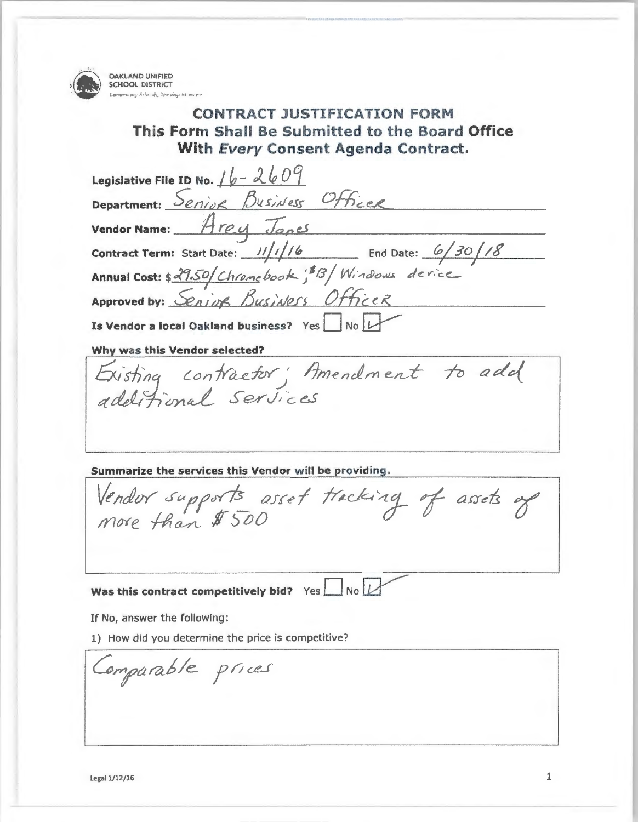**OAKLAND** UNIFIED

**SCHOOL DISTRICT**<br>Community Schr. ak, Treiving St. as me **CONTRACT JUSTIFICATION FORM This Form Shall Be Submitted to the Board Office With Every Consent Agenda Contract.** 

**Legislative File ID No.**  $16 - 2609$ Department: Senior Business Officer **Vendor Name:** Arey Jones **Contract Term:** Start Date: /////6 End Date: 6/30/18 Annual Cost: \$29.50/Chromebook: <sup>\$13</sup>/Windows derice Approved by: *<u>Senior Busidess</u>* Officer **Is Vendor a local Oakland business?** Yes No L **Why was this Vendor selected?** 

Existing contractor; Amendment to add additional services

**Summarize the services this Vendor will be providing.** 

Vendor supports asset tracking of assets of more than \$ 500

**Was this contract competitively bid?** Yes  $\Box$  No  $\Box$ 

If No, answer the following :

1) How did you determine the price is competitive?

Comparable prices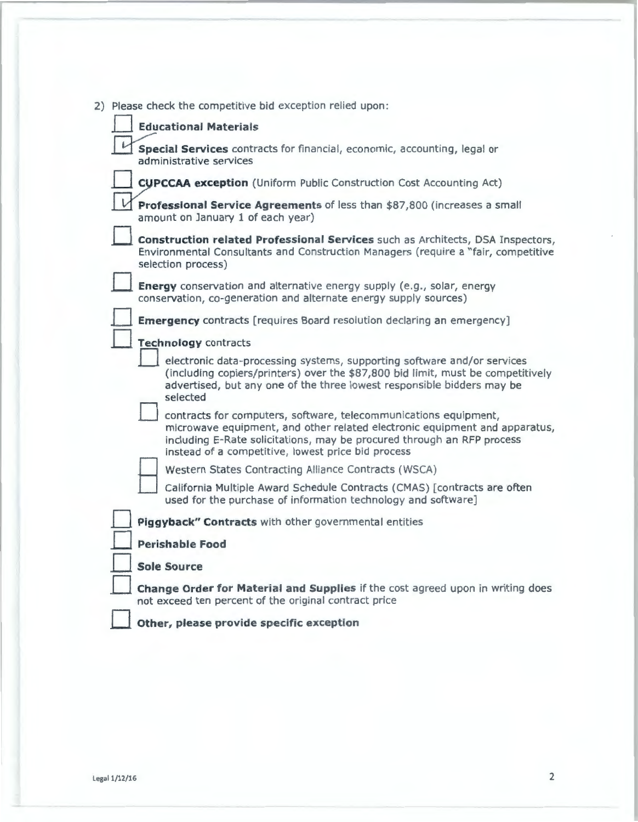|  | 2) Please check the competitive bid exception relied upon:                                                                                                                                                                                                                     |
|--|--------------------------------------------------------------------------------------------------------------------------------------------------------------------------------------------------------------------------------------------------------------------------------|
|  |                                                                                                                                                                                                                                                                                |
|  | <b>Educational Materials</b>                                                                                                                                                                                                                                                   |
|  | Special Services contracts for financial, economic, accounting, legal or<br>administrative services                                                                                                                                                                            |
|  | <b>CUPCCAA exception</b> (Uniform Public Construction Cost Accounting Act)                                                                                                                                                                                                     |
|  | Professional Service Agreements of less than \$87,800 (increases a small<br>amount on January 1 of each year)                                                                                                                                                                  |
|  | Construction related Professional Services such as Architects, DSA Inspectors,<br>Environmental Consultants and Construction Managers (require a "fair, competitive<br>selection process)                                                                                      |
|  | Energy conservation and alternative energy supply (e.g., solar, energy<br>conservation, co-generation and alternate energy supply sources)                                                                                                                                     |
|  | <b>Emergency</b> contracts [requires Board resolution declaring an emergency]                                                                                                                                                                                                  |
|  | <b>Technology contracts</b>                                                                                                                                                                                                                                                    |
|  | electronic data-processing systems, supporting software and/or services<br>(including copiers/printers) over the \$87,800 bid limit, must be competitively<br>advertised, but any one of the three lowest responsible bidders may be<br>selected                               |
|  | contracts for computers, software, telecommunications equipment,<br>microwave equipment, and other related electronic equipment and apparatus,<br>including E-Rate solicitations, may be procured through an RFP process<br>instead of a competitive, lowest price bid process |
|  | Western States Contracting Alliance Contracts (WSCA)                                                                                                                                                                                                                           |
|  | California Multiple Award Schedule Contracts (CMAS) [contracts are often<br>used for the purchase of information technology and software]                                                                                                                                      |
|  | Piggyback" Contracts with other governmental entities                                                                                                                                                                                                                          |
|  | <b>Perishable Food</b>                                                                                                                                                                                                                                                         |
|  | <b>Sole Source</b>                                                                                                                                                                                                                                                             |
|  | Change Order for Material and Supplies if the cost agreed upon in writing does<br>not exceed ten percent of the original contract price                                                                                                                                        |
|  | Other, please provide specific exception                                                                                                                                                                                                                                       |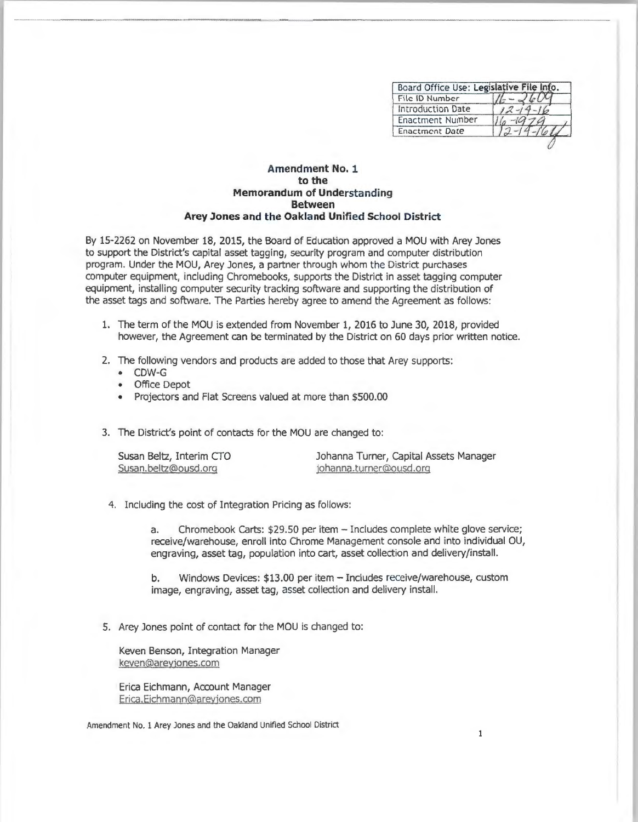| Board Office Use: Legislative File Info. |  |
|------------------------------------------|--|
| File ID Number                           |  |
| <b>Introduction Date</b>                 |  |
| Enactment Number                         |  |
| <b>Enactment Date</b>                    |  |

## **Amendment No. 1 to the Memorandum of Understanding Between Arey Jones and the Oakland Unified School District**

By 15-2262 on November 18, 2015, the Board of Education approved a MOU with Arey Jones to support the District's capital asset tagging, security program and computer distribution program. Under the MOU, Arey Jones, a partner through whom the District purchases computer equipment, including Chromebooks, supports the District in asset tagging computer equipment, installing computer security tracking software and supporting the distribution of the asset tags and software. The Parties hereby agree to amend the Agreement as follows:

- 1. The term of the MOU is extended from November 1, 2016 to June 30, 2018, provided however, the Agreement can be terminated by the District on 60 days prior written notice.
- 2. The following vendors and products are added to those that Arey supports:
	- CDW-G
	- Office Depot
	- Projectors and Flat Screens valued at more than \$500.00
- 3. The District's point of contacts for the MOU are changed to:

| Susan Beltz, Interim CTO |  |
|--------------------------|--|
| Susan.beltz@ousd.org     |  |

Johanna Turner, Capital Assets Manager johanna.turner@ousd.org

4. Including the cost of Integration Pricing as follows:

a. Chromebook Carts: \$29.50 per item - Includes complete white glove service; receive/warehouse, enroll into Chrome Management console and into individual OU, engraving, asset tag, population into cart, asset collection and delivery/install.

b. Windows Devices: \$13.00 per item - Includes receive/warehouse, custom image, engraving, asset tag, asset collection and delivery install.

5. Arey Jones point of contact for the MOU is changed to:

Keven Benson, Integration Manager keven@areyjones.com

Erica Eichmann, Account Manager Erica.Eichmann@areyjones.com

Amendment No. 1 Arey Jones and the Oakland Unified School District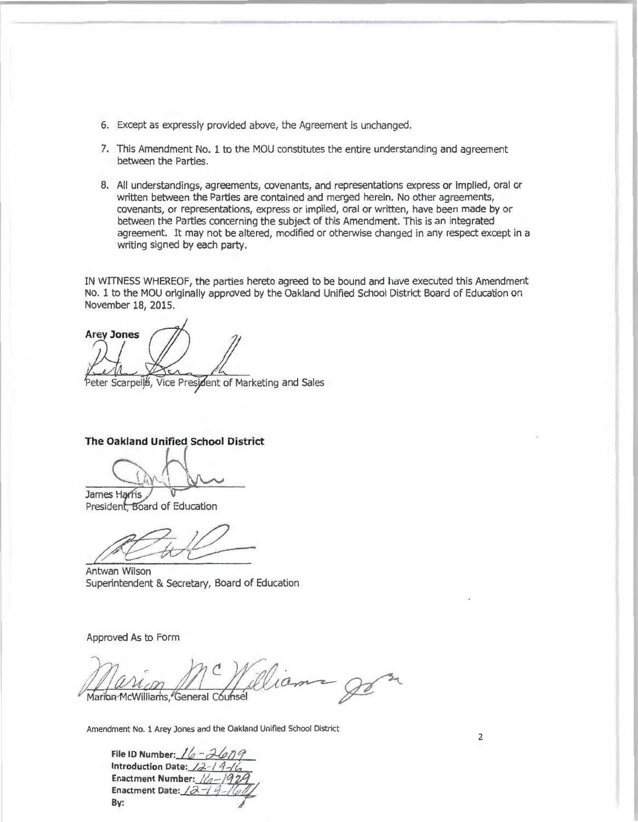- 6. Except as expressly provided above, the Agreement is unchanged.
- 7. This Amendment No. 1 to the MOU constitutes the entire understanding and agreement between the Parties.
- 8. All understandings, agreements, covenants, and representations express or implied, oral or written between the Parties are contained and merged herein. No other agreements, covenants, or representations, express or implied, oral or written, have been made by or between the Parties concerning the subject of this Amendment. This is an integrated agreement. It may not be altered, modified or otherwise changed in any respect except in a writing signed by each party.

IN WITNESS WHEREOF, the parties hereto agreed to be bound and have executed this Amendment No. 1 to the MOU originally approved by the Oakland Unified School District Board of Education on November 18, 2015.

**Arey Jones** Peter Scarpells, Vice President of Marketing and Sales

**The Oakland Unified School District** 

 $Q_0$ 

James Harris President, Board of Education

*#!ft?~* 

Antwan Wilson Superintendent & Secretary, Board of Education

Approved As to Form

Marion McWilliams, General Counsel

Amendment No. 1 Arey Jones and the Oakland Unified School District

File ID Number:  $16 - 7679$ Introduction **Date:** *Id-- / 4-/t,*  **Enactment Number: //** Enactment Date: / $\partial$ By:

2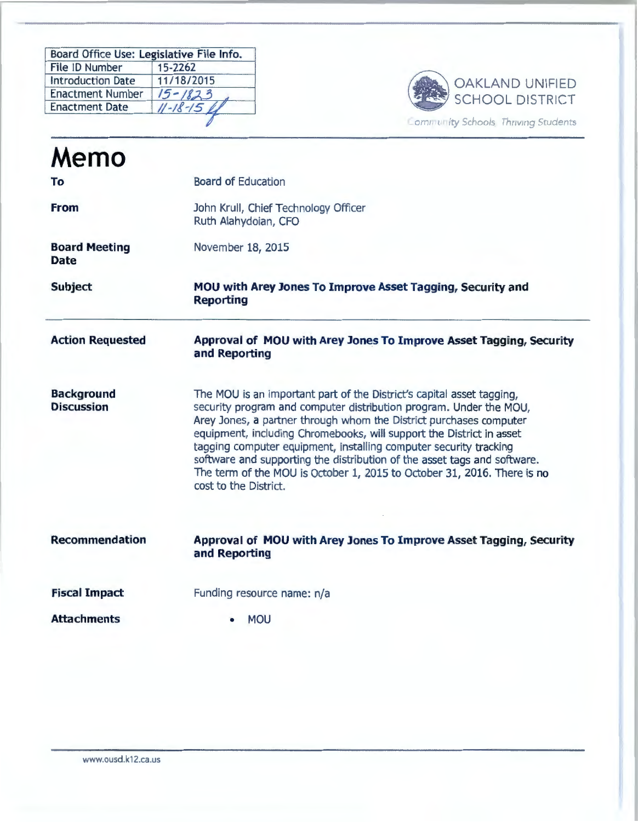| Board Office Use: Legislative File Info. |                 |
|------------------------------------------|-----------------|
| File ID Number                           | 15-2262         |
| <b>Introduction Date</b>                 | 11/18/2015      |
| <b>Enactment Number</b>                  | $15 - 1823$     |
| <b>Enactment Date</b>                    | $11 - 18 - 156$ |
|                                          |                 |



| Memo                                   |                                                                                                                                                                                                                                                                                                                                                                                                                                                                                                                                                |
|----------------------------------------|------------------------------------------------------------------------------------------------------------------------------------------------------------------------------------------------------------------------------------------------------------------------------------------------------------------------------------------------------------------------------------------------------------------------------------------------------------------------------------------------------------------------------------------------|
| To                                     | <b>Board of Education</b>                                                                                                                                                                                                                                                                                                                                                                                                                                                                                                                      |
| <b>From</b>                            | John Krull, Chief Technology Officer<br>Ruth Alahydoian, CFO                                                                                                                                                                                                                                                                                                                                                                                                                                                                                   |
| <b>Board Meeting</b><br><b>Date</b>    | November 18, 2015                                                                                                                                                                                                                                                                                                                                                                                                                                                                                                                              |
| <b>Subject</b>                         | MOU with Arey Jones To Improve Asset Tagging, Security and<br><b>Reporting</b>                                                                                                                                                                                                                                                                                                                                                                                                                                                                 |
| <b>Action Requested</b>                | Approval of MOU with Arey Jones To Improve Asset Tagging, Security<br>and Reporting                                                                                                                                                                                                                                                                                                                                                                                                                                                            |
| <b>Background</b><br><b>Discussion</b> | The MOU is an important part of the District's capital asset tagging,<br>security program and computer distribution program. Under the MOU,<br>Arey Jones, a partner through whom the District purchases computer<br>equipment, including Chromebooks, will support the District in asset<br>tagging computer equipment, installing computer security tracking<br>software and supporting the distribution of the asset tags and software.<br>The term of the MOU is October 1, 2015 to October 31, 2016. There is no<br>cost to the District. |
| <b>Recommendation</b>                  | Approval of MOU with Arey Jones To Improve Asset Tagging, Security<br>and Reporting                                                                                                                                                                                                                                                                                                                                                                                                                                                            |
| <b>Fiscal Impact</b>                   | Funding resource name: n/a                                                                                                                                                                                                                                                                                                                                                                                                                                                                                                                     |
| <b>Attachments</b>                     | <b>MOU</b>                                                                                                                                                                                                                                                                                                                                                                                                                                                                                                                                     |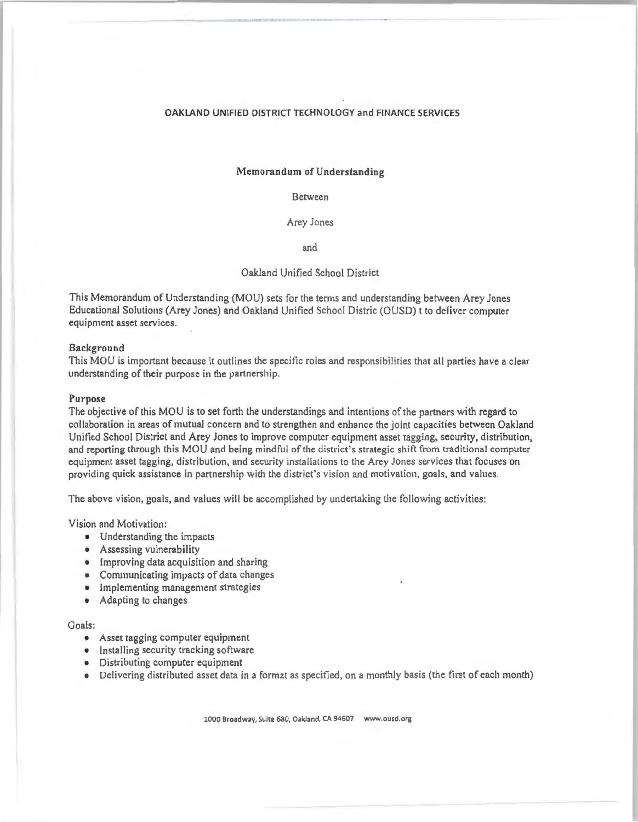## OAKLAND UNIFIED DISTRICT TECHNOLOGY and FINANCE SERVICES

## Memorandum **of** Understanding

Between

Arey Jones

and

## Oakland Unified School District

This Memorandum of Understanding (MOU) sets for the terms and understanding between Arey Jones Educational Solutions (Arey Jones) and Oakland Unified School Distric (OUSD) t to deliver compute r equipment asset services.

#### Background

This MOU is important because it outlines the specific roles and responsibilities that all parties have a clear understanding of their purpose in the partnership.

#### Purpose

The objective of this MOU is to set forth the understandings and intentions of the partners with regard to collaboralion in areas of mutual concern and to strengthen and enhance the joint capacities between Oakland Unified School District and **Arey** Jones to improve computer equ ipment asset tagging, security, distribution, and reporting through this MOU and being mindful of the district's strategic shift from traditional computer equipment asset tagging, distribution, and security installations to the Arey Jones services that focuses on providing quick assistance in partnership with the district's vision and motivation, goals, and values.

The above vision, goals, and values will be accomplished by undertaking the following activities:

Vision and Motivation :

- Understanding the impacts
- Assessing vulnerability
- Improving data acquisition and sharing
- Communicating impacts of data changes
- Implementing management strategies
- Adapting to changes

#### Goals:

- Asset tagging computer equipment
- Installing security tracking software
- Distributing computer equipment
- Delivering distributed asset data in a format as specified, on a monthly basis (the first of each month)

1000 Broadway, Suite 580, Oakland, CA 94507 www.ousd.org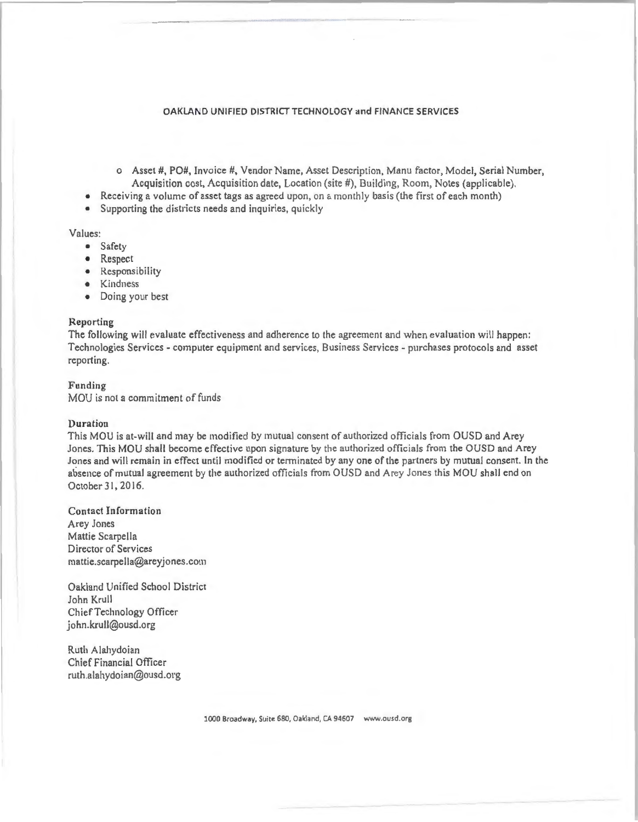## OAKLAND UNIFIED DISTRICT TECHNOLOGY and FINANCE SERVICES

- o Asset #, PO#, Invoice#, Vendor Name, Asset Description, Manu factor, Model, Serial Number, Acquisition cost, Acquisition date, Location (site #), Building, Room, Notes (applicable).
- Receiving a volume of asset tags as agreed upon, on a monthly basis (the first of each month)
- Supporting the districts needs and inquiries, quickly

## Values:

- Safety
- Respect
- Responsibility
- Kindness
- Doing your best

## **Reporting**

The following will evaluate effectiveness and adherence to the agreement and when evaluation will happen: Technologies Services - computer equipment and services, Business Services - purchases protocols and asset reporting.

## Funding MOU is not a commitment of funds

#### Duration

This MOU is at-will and may be modified by mutual consent of authorized officials from OUSD and Arey Jones. This MOU shall become effective upon signature by the authorized officials from the OUSD and Arey Jones and will remain in effect until modified or tenninated by any one of the partners by mutual consent. In the absence of mutual agreement by the authorized officials from OUSD and Arey Jones this MOU shall end on October 31, 2016.

Contact Information Arey Jones Mattie Scarpella Director of Services mattie.scarpella@areyjones.com

Oakland Unified School District John Krull Chief Technology Officer john. krull@ousd.org

Ruth Alahydoian Chief Financial Officer ruth.a lahydoian@ousd.org